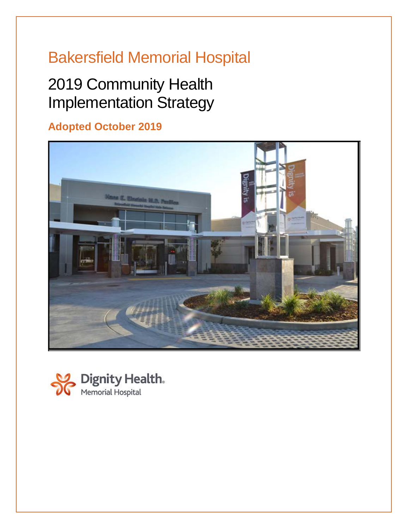# Bakersfield Memorial Hospital

# 2019 Community Health Implementation Strategy

## **Adopted October 2019**



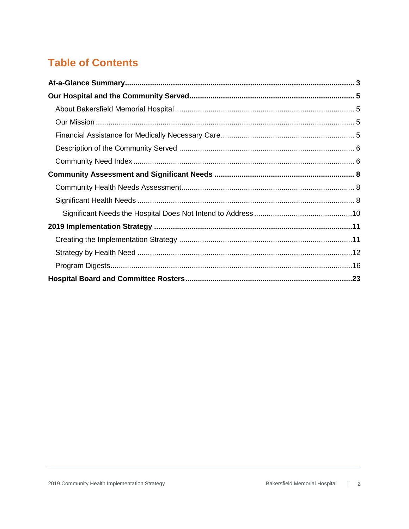## **Table of Contents**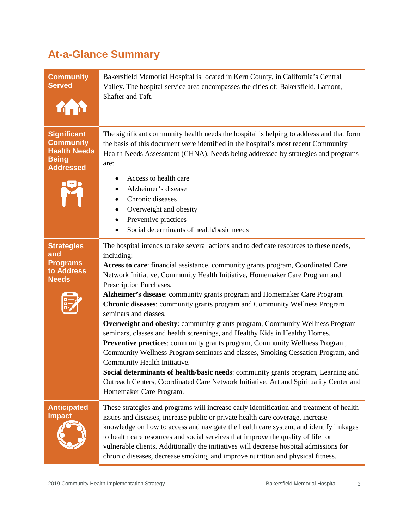# <span id="page-2-0"></span>**At-a-Glance Summary**

| <b>Community</b><br><b>Served</b>                                                                 | Bakersfield Memorial Hospital is located in Kern County, in California's Central<br>Valley. The hospital service area encompasses the cities of: Bakersfield, Lamont,<br>Shafter and Taft.                                                                                                                                                                                                                                                                                                                                                                                                                                                                                                                                                                                                                                                                                                                                                                                                                                                                              |
|---------------------------------------------------------------------------------------------------|-------------------------------------------------------------------------------------------------------------------------------------------------------------------------------------------------------------------------------------------------------------------------------------------------------------------------------------------------------------------------------------------------------------------------------------------------------------------------------------------------------------------------------------------------------------------------------------------------------------------------------------------------------------------------------------------------------------------------------------------------------------------------------------------------------------------------------------------------------------------------------------------------------------------------------------------------------------------------------------------------------------------------------------------------------------------------|
| <b>Significant</b><br><b>Community</b><br><b>Health Needs</b><br><b>Being</b><br><b>Addressed</b> | The significant community health needs the hospital is helping to address and that form<br>the basis of this document were identified in the hospital's most recent Community<br>Health Needs Assessment (CHNA). Needs being addressed by strategies and programs<br>are:<br>Access to health care<br>٠<br>Alzheimer's disease<br>Chronic diseases<br>Overweight and obesity<br>$\bullet$<br>Preventive practices<br>Social determinants of health/basic needs                                                                                                                                                                                                                                                                                                                                                                                                                                                                                                                                                                                                          |
| <b>Strategies</b><br>and<br><b>Programs</b><br>to Address<br><b>Needs</b>                         | The hospital intends to take several actions and to dedicate resources to these needs,<br>including:<br>Access to care: financial assistance, community grants program, Coordinated Care<br>Network Initiative, Community Health Initiative, Homemaker Care Program and<br>Prescription Purchases.<br>Alzheimer's disease: community grants program and Homemaker Care Program.<br>Chronic diseases: community grants program and Community Wellness Program<br>seminars and classes.<br><b>Overweight and obesity:</b> community grants program, Community Wellness Program<br>seminars, classes and health screenings, and Healthy Kids in Healthy Homes.<br>Preventive practices: community grants program, Community Wellness Program,<br>Community Wellness Program seminars and classes, Smoking Cessation Program, and<br>Community Health Initiative.<br>Social determinants of health/basic needs: community grants program, Learning and<br>Outreach Centers, Coordinated Care Network Initiative, Art and Spirituality Center and<br>Homemaker Care Program. |
| <b>Anticipated</b><br><b>Impact</b>                                                               | These strategies and programs will increase early identification and treatment of health<br>issues and diseases, increase public or private health care coverage, increase<br>knowledge on how to access and navigate the health care system, and identify linkages<br>to health care resources and social services that improve the quality of life for<br>vulnerable clients. Additionally the initiatives will decrease hospital admissions for<br>chronic diseases, decrease smoking, and improve nutrition and physical fitness.                                                                                                                                                                                                                                                                                                                                                                                                                                                                                                                                   |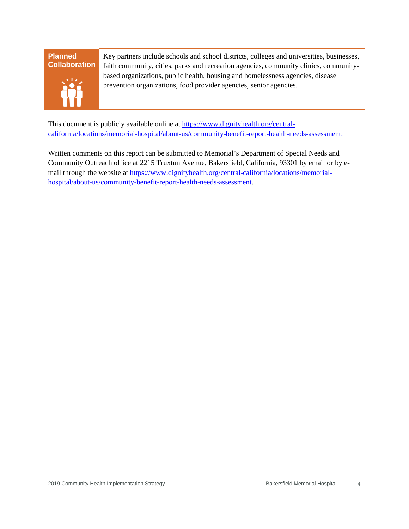#### **Planned Collaboration**



Key partners include schools and school districts, colleges and universities, businesses, faith community, cities, parks and recreation agencies, community clinics, communitybased organizations, public health, housing and homelessness agencies, disease prevention organizations, food provider agencies, senior agencies.

This document is publicly available online at [https://www.dignityhealth.org/central](https://www.dignityhealth.org/central-california/locations/memorial-hospital/about-us/community-benefit-report-health-needs-assessment)[california/locations/memorial-hospital/about-us/community-benefit-report-health-needs-assessment.](https://www.dignityhealth.org/central-california/locations/memorial-hospital/about-us/community-benefit-report-health-needs-assessment)

Written comments on this report can be submitted to Memorial's Department of Special Needs and Community Outreach office at 2215 Truxtun Avenue, Bakersfield, California, 93301 by email or by email through the website at [https://www.dignityhealth.org/central-california/locations/memorial](https://www.dignityhealth.org/central-california/locations/memorial-hospital/about-us/community-benefit-report-health-needs-assessment)[hospital/about-us/community-benefit-report-health-needs-assessment.](https://www.dignityhealth.org/central-california/locations/memorial-hospital/about-us/community-benefit-report-health-needs-assessment)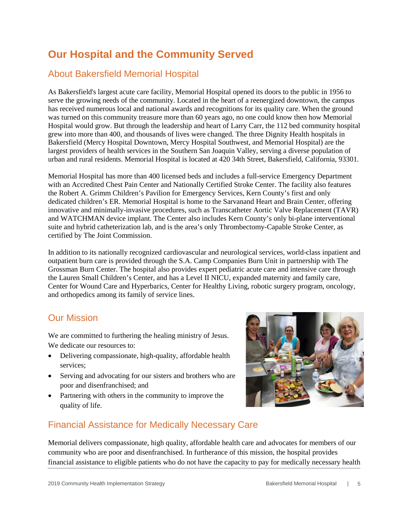## <span id="page-4-0"></span>**Our Hospital and the Community Served**

### <span id="page-4-1"></span>About Bakersfield Memorial Hospital

<span id="page-4-2"></span>As Bakersfield's largest acute care facility, Memorial Hospital opened its doors to the public in 1956 to serve the growing needs of the community. Located in the heart of a reenergized downtown, the campus has received numerous local and national awards and recognitions for its quality care. When the ground was turned on this community treasure more than 60 years ago, no one could know then how Memorial Hospital would grow. But through the leadership and heart of Larry Carr, the 112 bed community hospital grew into more than 400, and thousands of lives were changed. The three Dignity Health hospitals in Bakersfield (Mercy Hospital Downtown, Mercy Hospital Southwest, and Memorial Hospital) are the largest providers of health services in the Southern San Joaquin Valley, serving a diverse population of urban and rural residents. Memorial Hospital is located at 420 34th Street, Bakersfield, California, 93301.

Memorial Hospital has more than 400 licensed beds and includes a full-service Emergency Department with an Accredited Chest Pain Center and Nationally Certified Stroke Center. The facility also features the Robert A. Grimm Children's Pavilion for Emergency Services, Kern County's first and only dedicated children's ER. Memorial Hospital is home to the Sarvanand Heart and Brain Center, offering innovative and minimally-invasive procedures, such as Transcatheter Aortic Valve Replacement (TAVR) and WATCHMAN device implant. The Center also includes Kern County's only bi-plane interventional suite and hybrid catheterization lab, and is the area's only Thrombectomy-Capable Stroke Center, as certified by The Joint Commission.

In addition to its nationally recognized cardiovascular and neurological services, world-class inpatient and outpatient burn care is provided through the S.A. Camp Companies Burn Unit in partnership with The Grossman Burn Center. The hospital also provides expert pediatric acute care and intensive care through the Lauren Small Children's Center, and has a Level II NICU, expanded maternity and family care, Center for Wound Care and Hyperbarics, Center for Healthy Living, robotic surgery program, oncology, and orthopedics among its family of service lines.

#### Our Mission

We are committed to furthering the healing ministry of Jesus. We dedicate our resources to:

- Delivering compassionate, high-quality, affordable health services;
- Serving and advocating for our sisters and brothers who are poor and disenfranchised; and
- Partnering with others in the community to improve the quality of life.



### <span id="page-4-3"></span>Financial Assistance for Medically Necessary Care

Memorial delivers compassionate, high quality, affordable health care and advocates for members of our community who are poor and disenfranchised. In furtherance of this mission, the hospital provides financial assistance to eligible patients who do not have the capacity to pay for medically necessary health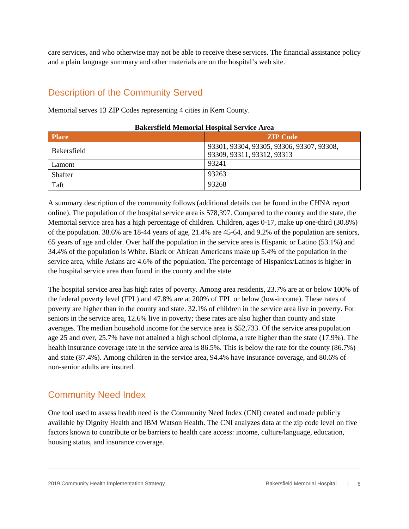care services, and who otherwise may not be able to receive these services. The financial assistance policy and a plain language summary and other materials are on the hospital's web site.

### <span id="page-5-0"></span>Description of the Community Served

Memorial serves 13 ZIP Codes representing 4 cities in Kern County.

| <b>Place</b>       | <b>ZIP Code</b>                           |
|--------------------|-------------------------------------------|
| <b>Bakersfield</b> | 93301, 93304, 93305, 93306, 93307, 93308, |
|                    | 93309, 93311, 93312, 93313                |
| Lamont             | 93241                                     |
| Shafter            | 93263                                     |
| Taft               | 93268                                     |

#### **Bakersfield Memorial Hospital Service Area**

A summary description of the community follows (additional details can be found in the CHNA report online). The population of the hospital service area is 578,397. Compared to the county and the state, the Memorial service area has a high percentage of children. Children, ages 0-17, make up one-third (30.8%) of the population. 38.6% are 18-44 years of age, 21.4% are 45-64, and 9.2% of the population are seniors, 65 years of age and older. Over half the population in the service area is Hispanic or Latino (53.1%) and 34.4% of the population is White. Black or African Americans make up 5.4% of the population in the service area, while Asians are 4.6% of the population. The percentage of Hispanics/Latinos is higher in the hospital service area than found in the county and the state.

The hospital service area has high rates of poverty. Among area residents, 23.7% are at or below 100% of the federal poverty level (FPL) and 47.8% are at 200% of FPL or below (low-income). These rates of poverty are higher than in the county and state. 32.1% of children in the service area live in poverty. For seniors in the service area, 12.6% live in poverty; these rates are also higher than county and state averages. The median household income for the service area is \$52,733. Of the service area population age 25 and over, 25.7% have not attained a high school diploma, a rate higher than the state (17.9%). The health insurance coverage rate in the service area is 86.5%. This is below the rate for the county (86.7%) and state (87.4%). Among children in the service area, 94.4% have insurance coverage, and 80.6% of non-senior adults are insured.

### <span id="page-5-1"></span>Community Need Index

One tool used to assess health need is the Community Need Index (CNI) created and made publicly available by Dignity Health and IBM Watson Health. The CNI analyzes data at the zip code level on five factors known to contribute or be barriers to health care access: income, culture/language, education, housing status, and insurance coverage.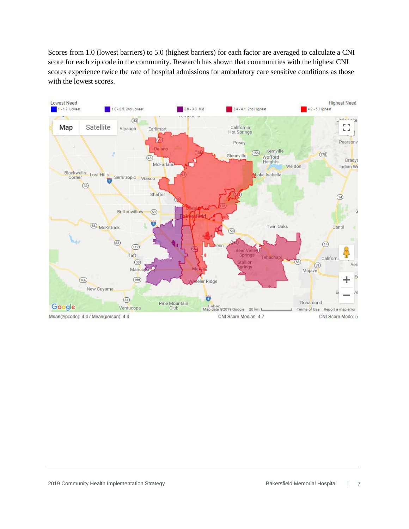Scores from 1.0 (lowest barriers) to 5.0 (highest barriers) for each factor are averaged to calculate a CNI score for each zip code in the community. Research has shown that communities with the highest CNI scores experience twice the rate of hospital admissions for ambulatory care sensitive conditions as those with the lowest scores.

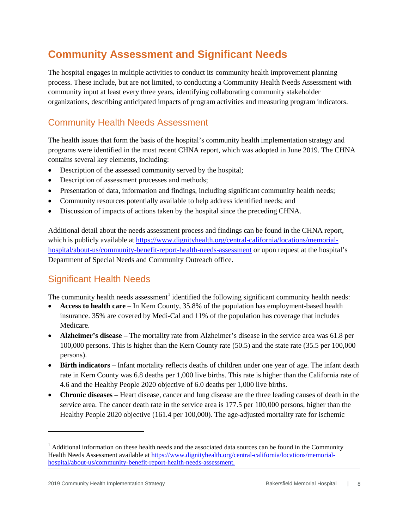### <span id="page-7-0"></span>**Community Assessment and Significant Needs**

The hospital engages in multiple activities to conduct its community health improvement planning process. These include, but are not limited, to conducting a Community Health Needs Assessment with community input at least every three years, identifying collaborating community stakeholder organizations, describing anticipated impacts of program activities and measuring program indicators.

### <span id="page-7-1"></span>Community Health Needs Assessment

The health issues that form the basis of the hospital's community health implementation strategy and programs were identified in the most recent CHNA report, which was adopted in June 2019. The CHNA contains several key elements, including:

- Description of the assessed community served by the hospital;
- Description of assessment processes and methods;
- Presentation of data, information and findings, including significant community health needs;
- Community resources potentially available to help address identified needs; and
- Discussion of impacts of actions taken by the hospital since the preceding CHNA.

Additional detail about the needs assessment process and findings can be found in the CHNA report, which is publicly available at [https://www.dignityhealth.org/central-california/locations/memorial](https://www.dignityhealth.org/central-california/locations/memorial-hospital/about-us/community-benefit-report-health-needs-assessment)[hospital/about-us/community-benefit-report-health-needs-assessment](https://www.dignityhealth.org/central-california/locations/memorial-hospital/about-us/community-benefit-report-health-needs-assessment) or upon request at the hospital's Department of Special Needs and Community Outreach office.

### <span id="page-7-2"></span>Significant Health Needs

The community health needs assessment<sup>[1](#page-7-3)</sup> identified the following significant community health needs:

- **Access to health care**  In Kern County, 35.8% of the population has employment-based health insurance. 35% are covered by Medi-Cal and 11% of the population has coverage that includes Medicare.
- **Alzheimer's disease** The mortality rate from Alzheimer's disease in the service area was 61.8 per 100,000 persons. This is higher than the Kern County rate (50.5) and the state rate (35.5 per 100,000 persons).
- **Birth indicators** Infant mortality reflects deaths of children under one year of age. The infant death rate in Kern County was 6.8 deaths per 1,000 live births. This rate is higher than the California rate of 4.6 and the Healthy People 2020 objective of 6.0 deaths per 1,000 live births.
- **Chronic diseases** Heart disease, cancer and lung disease are the three leading causes of death in the service area. The cancer death rate in the service area is 177.5 per 100,000 persons, higher than the Healthy People 2020 objective (161.4 per 100,000). The age-adjusted mortality rate for ischemic

 $\overline{a}$ 

<span id="page-7-3"></span> $<sup>1</sup>$  Additional information on these health needs and the associated data sources can be found in the Community</sup> Health Needs Assessment available a[t https://www.dignityhealth.org/central-california/locations/memorial](https://www.dignityhealth.org/central-california/locations/memorial-hospital/about-us/community-benefit-report-health-needs-assessment)[hospital/about-us/community-benefit-report-health-needs-assessment.](https://www.dignityhealth.org/central-california/locations/memorial-hospital/about-us/community-benefit-report-health-needs-assessment)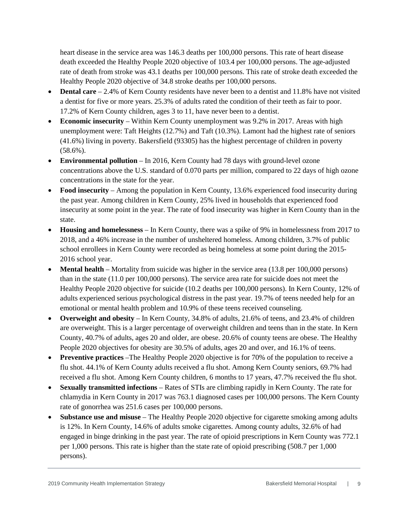heart disease in the service area was 146.3 deaths per 100,000 persons. This rate of heart disease death exceeded the Healthy People 2020 objective of 103.4 per 100,000 persons. The age-adjusted rate of death from stroke was 43.1 deaths per 100,000 persons. This rate of stroke death exceeded the Healthy People 2020 objective of 34.8 stroke deaths per 100,000 persons.

- **Dental care** 2.4% of Kern County residents have never been to a dentist and 11.8% have not visited a dentist for five or more years. 25.3% of adults rated the condition of their teeth as fair to poor. 17.2% of Kern County children, ages 3 to 11, have never been to a dentist.
- **Economic insecurity** Within Kern County unemployment was 9.2% in 2017. Areas with high unemployment were: Taft Heights (12.7%) and Taft (10.3%). Lamont had the highest rate of seniors (41.6%) living in poverty. Bakersfield (93305) has the highest percentage of children in poverty (58.6%).
- **Environmental pollution** In 2016, Kern County had 78 days with ground-level ozone concentrations above the U.S. standard of 0.070 parts per million, compared to 22 days of high ozone concentrations in the state for the year.
- **Food insecurity** Among the population in Kern County, 13.6% experienced food insecurity during the past year. Among children in Kern County, 25% lived in households that experienced food insecurity at some point in the year. The rate of food insecurity was higher in Kern County than in the state.
- **Housing and homelessness** In Kern County, there was a spike of 9% in homelessness from 2017 to 2018, and a 46% increase in the number of unsheltered homeless. Among children, 3.7% of public school enrollees in Kern County were recorded as being homeless at some point during the 2015- 2016 school year.
- **Mental health** Mortality from suicide was higher in the service area (13.8 per 100,000 persons) than in the state (11.0 per 100,000 persons). The service area rate for suicide does not meet the Healthy People 2020 objective for suicide (10.2 deaths per 100,000 persons). In Kern County, 12% of adults experienced serious psychological distress in the past year. 19.7% of teens needed help for an emotional or mental health problem and 10.9% of these teens received counseling.
- **Overweight and obesity** In Kern County, 34.8% of adults, 21.6% of teens, and 23.4% of children are overweight. This is a larger percentage of overweight children and teens than in the state. In Kern County, 40.7% of adults, ages 20 and older, are obese. 20.6% of county teens are obese. The Healthy People 2020 objectives for obesity are 30.5% of adults, ages 20 and over, and 16.1% of teens.
- **Preventive practices** –The Healthy People 2020 objective is for 70% of the population to receive a flu shot. 44.1% of Kern County adults received a flu shot. Among Kern County seniors, 69.7% had received a flu shot. Among Kern County children, 6 months to 17 years, 47.7% received the flu shot.
- **Sexually transmitted infections** Rates of STIs are climbing rapidly in Kern County. The rate for chlamydia in Kern County in 2017 was 763.1 diagnosed cases per 100,000 persons. The Kern County rate of gonorrhea was 251.6 cases per 100,000 persons.
- **Substance use and misuse** The Healthy People 2020 objective for cigarette smoking among adults is 12%. In Kern County, 14.6% of adults smoke cigarettes. Among county adults, 32.6% of had engaged in binge drinking in the past year. The rate of opioid prescriptions in Kern County was 772.1 per 1,000 persons. This rate is higher than the state rate of opioid prescribing (508.7 per 1,000 persons).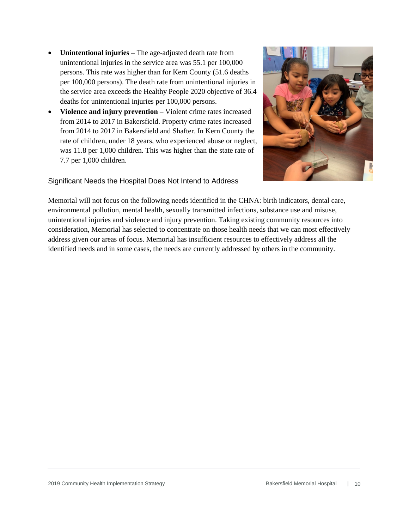- **Unintentional injuries** The age-adjusted death rate from unintentional injuries in the service area was 55.1 per 100,000 persons. This rate was higher than for Kern County (51.6 deaths per 100,000 persons). The death rate from unintentional injuries in the service area exceeds the Healthy People 2020 objective of 36.4 deaths for unintentional injuries per 100,000 persons.
- **Violence and injury prevention** Violent crime rates increased from 2014 to 2017 in Bakersfield. Property crime rates increased from 2014 to 2017 in Bakersfield and Shafter. In Kern County the rate of children, under 18 years, who experienced abuse or neglect, was 11.8 per 1,000 children. This was higher than the state rate of 7.7 per 1,000 children.

#### <span id="page-9-0"></span>Significant Needs the Hospital Does Not Intend to Address

Memorial will not focus on the following needs identified in the CHNA: birth indicators, dental care, environmental pollution, mental health, sexually transmitted infections, substance use and misuse, unintentional injuries and violence and injury prevention. Taking existing community resources into consideration, Memorial has selected to concentrate on those health needs that we can most effectively address given our areas of focus. Memorial has insufficient resources to effectively address all the identified needs and in some cases, the needs are currently addressed by others in the community.

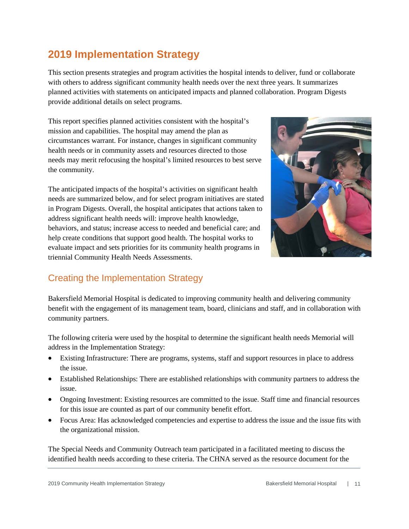### <span id="page-10-0"></span>**2019 Implementation Strategy**

This section presents strategies and program activities the hospital intends to deliver, fund or collaborate with others to address significant community health needs over the next three years. It summarizes planned activities with statements on anticipated impacts and planned collaboration. Program Digests provide additional details on select programs.

This report specifies planned activities consistent with the hospital's mission and capabilities. The hospital may amend the plan as circumstances warrant. For instance, changes in significant community health needs or in community assets and resources directed to those needs may merit refocusing the hospital's limited resources to best serve the community.

The anticipated impacts of the hospital's activities on significant health needs are summarized below, and for select program initiatives are stated in Program Digests. Overall, the hospital anticipates that actions taken to address significant health needs will: improve health knowledge, behaviors, and status; increase access to needed and beneficial care; and help create conditions that support good health. The hospital works to evaluate impact and sets priorities for its community health programs in triennial Community Health Needs Assessments.



### <span id="page-10-1"></span>Creating the Implementation Strategy

Bakersfield Memorial Hospital is dedicated to improving community health and delivering community benefit with the engagement of its management team, board, clinicians and staff, and in collaboration with community partners.

The following criteria were used by the hospital to determine the significant health needs Memorial will address in the Implementation Strategy:

- Existing Infrastructure: There are programs, systems, staff and support resources in place to address the issue.
- Established Relationships: There are established relationships with community partners to address the issue.
- Ongoing Investment: Existing resources are committed to the issue. Staff time and financial resources for this issue are counted as part of our community benefit effort.
- Focus Area: Has acknowledged competencies and expertise to address the issue and the issue fits with the organizational mission.

The Special Needs and Community Outreach team participated in a facilitated meeting to discuss the identified health needs according to these criteria. The CHNA served as the resource document for the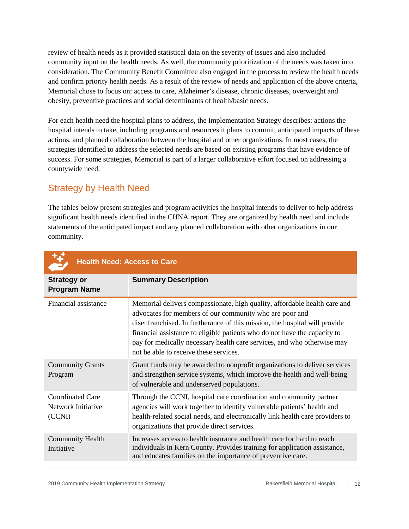review of health needs as it provided statistical data on the severity of issues and also included community input on the health needs. As well, the community prioritization of the needs was taken into consideration. The Community Benefit Committee also engaged in the process to review the health needs and confirm priority health needs. As a result of the review of needs and application of the above criteria, Memorial chose to focus on: access to care, Alzheimer's disease, chronic diseases, overweight and obesity, preventive practices and social determinants of health/basic needs.

For each health need the hospital plans to address, the Implementation Strategy describes: actions the hospital intends to take, including programs and resources it plans to commit, anticipated impacts of these actions, and planned collaboration between the hospital and other organizations. In most cases, the strategies identified to address the selected needs are based on existing programs that have evidence of success. For some strategies, Memorial is part of a larger collaborative effort focused on addressing a countywide need.

### <span id="page-11-0"></span>Strategy by Health Need

The tables below present strategies and program activities the hospital intends to deliver to help address significant health needs identified in the CHNA report. They are organized by health need and include statements of the anticipated impact and any planned collaboration with other organizations in our community.

| <b>Health Need: Access to Care</b>                      |                                                                                                                                                                                                                                                                                                                                                                                                                      |
|---------------------------------------------------------|----------------------------------------------------------------------------------------------------------------------------------------------------------------------------------------------------------------------------------------------------------------------------------------------------------------------------------------------------------------------------------------------------------------------|
| <b>Strategy or</b><br><b>Program Name</b>               | <b>Summary Description</b>                                                                                                                                                                                                                                                                                                                                                                                           |
| Financial assistance                                    | Memorial delivers compassionate, high quality, affordable health care and<br>advocates for members of our community who are poor and<br>disenfranchised. In furtherance of this mission, the hospital will provide<br>financial assistance to eligible patients who do not have the capacity to<br>pay for medically necessary health care services, and who otherwise may<br>not be able to receive these services. |
| <b>Community Grants</b><br>Program                      | Grant funds may be awarded to nonprofit organizations to deliver services<br>and strengthen service systems, which improve the health and well-being<br>of vulnerable and underserved populations.                                                                                                                                                                                                                   |
| <b>Coordinated Care</b><br>Network Initiative<br>(CCNI) | Through the CCNI, hospital care coordination and community partner<br>agencies will work together to identify vulnerable patients' health and<br>health-related social needs, and electronically link health care providers to<br>organizations that provide direct services.                                                                                                                                        |
| <b>Community Health</b><br>Initiative                   | Increases access to health insurance and health care for hard to reach<br>individuals in Kern County. Provides training for application assistance,<br>and educates families on the importance of preventive care.                                                                                                                                                                                                   |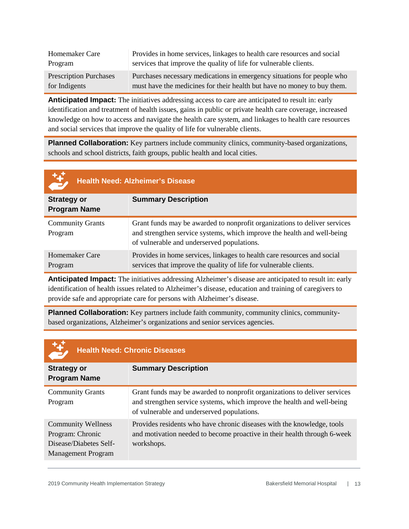| Homemaker Care                | Provides in home services, linkages to health care resources and social |
|-------------------------------|-------------------------------------------------------------------------|
| Program                       | services that improve the quality of life for vulnerable clients.       |
| <b>Prescription Purchases</b> | Purchases necessary medications in emergency situations for people who  |
| for Indigents                 | must have the medicines for their health but have no money to buy them. |

**Anticipated Impact:** The initiatives addressing access to care are anticipated to result in: early identification and treatment of health issues, gains in public or private health care coverage, increased knowledge on how to access and navigate the health care system, and linkages to health care resources and social services that improve the quality of life for vulnerable clients.

**Planned Collaboration:** Key partners include community clinics, community-based organizations, schools and school districts, faith groups, public health and local cities.

| <u>taj</u>                                | <b>Health Need: Alzheimer's Disease</b>                                                                                                                                                            |
|-------------------------------------------|----------------------------------------------------------------------------------------------------------------------------------------------------------------------------------------------------|
| <b>Strategy or</b><br><b>Program Name</b> | <b>Summary Description</b>                                                                                                                                                                         |
| <b>Community Grants</b><br>Program        | Grant funds may be awarded to nonprofit organizations to deliver services<br>and strengthen service systems, which improve the health and well-being<br>of vulnerable and underserved populations. |
| <b>Homemaker Care</b><br>Program          | Provides in home services, linkages to health care resources and social<br>services that improve the quality of life for vulnerable clients.                                                       |

**Anticipated Impact:** The initiatives addressing Alzheimer's disease are anticipated to result in: early identification of health issues related to Alzheimer's disease, education and training of caregivers to provide safe and appropriate care for persons with Alzheimer's disease.

**Planned Collaboration:** Key partners include faith community, community clinics, communitybased organizations, Alzheimer's organizations and senior services agencies.

| 马                                                                                                    | <b>Health Need: Chronic Diseases</b>                                                                                                                                                               |
|------------------------------------------------------------------------------------------------------|----------------------------------------------------------------------------------------------------------------------------------------------------------------------------------------------------|
| <b>Strategy or</b><br><b>Program Name</b>                                                            | <b>Summary Description</b>                                                                                                                                                                         |
| <b>Community Grants</b><br>Program                                                                   | Grant funds may be awarded to nonprofit organizations to deliver services<br>and strengthen service systems, which improve the health and well-being<br>of vulnerable and underserved populations. |
| <b>Community Wellness</b><br>Program: Chronic<br>Disease/Diabetes Self-<br><b>Management Program</b> | Provides residents who have chronic diseases with the knowledge, tools<br>and motivation needed to become proactive in their health through 6-week<br>workshops.                                   |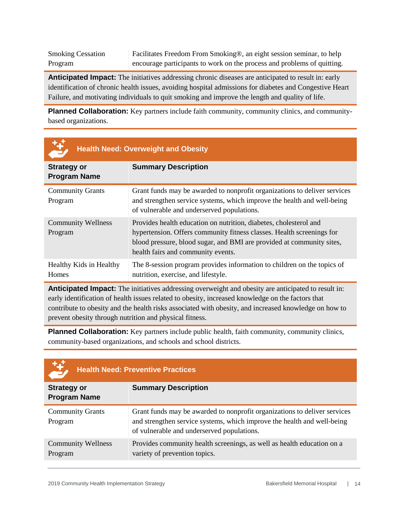Smoking Cessation Program Facilitates Freedom From Smoking®, an eight session seminar, to help encourage participants to work on the process and problems of quitting.

**Anticipated Impact:** The initiatives addressing chronic diseases are anticipated to result in: early identification of chronic health issues, avoiding hospital admissions for diabetes and Congestive Heart Failure, and motivating individuals to quit smoking and improve the length and quality of life.

**Planned Collaboration:** Key partners include faith community, community clinics, and communitybased organizations.

| 母                                         | <b>Health Need: Overweight and Obesity</b>                                                                                                                                                                                                                |
|-------------------------------------------|-----------------------------------------------------------------------------------------------------------------------------------------------------------------------------------------------------------------------------------------------------------|
| <b>Strategy or</b><br><b>Program Name</b> | <b>Summary Description</b>                                                                                                                                                                                                                                |
| <b>Community Grants</b><br>Program        | Grant funds may be awarded to nonprofit organizations to deliver services<br>and strengthen service systems, which improve the health and well-being<br>of vulnerable and underserved populations.                                                        |
| <b>Community Wellness</b><br>Program      | Provides health education on nutrition, diabetes, cholesterol and<br>hypertension. Offers community fitness classes. Health screenings for<br>blood pressure, blood sugar, and BMI are provided at community sites,<br>health fairs and community events. |
| Healthy Kids in Healthy<br><b>Homes</b>   | The 8-session program provides information to children on the topics of<br>nutrition, exercise, and lifestyle.                                                                                                                                            |

**Anticipated Impact:** The initiatives addressing overweight and obesity are anticipated to result in: early identification of health issues related to obesity, increased knowledge on the factors that contribute to obesity and the health risks associated with obesity, and increased knowledge on how to prevent obesity through nutrition and physical fitness.

**Planned Collaboration:** Key partners include public health, faith community, community clinics, community-based organizations, and schools and school districts.

| E                                         | <b>Health Need: Preventive Practices</b>                                                                                                                                                           |
|-------------------------------------------|----------------------------------------------------------------------------------------------------------------------------------------------------------------------------------------------------|
| <b>Strategy or</b><br><b>Program Name</b> | <b>Summary Description</b>                                                                                                                                                                         |
| <b>Community Grants</b><br>Program        | Grant funds may be awarded to nonprofit organizations to deliver services<br>and strengthen service systems, which improve the health and well-being<br>of vulnerable and underserved populations. |
| <b>Community Wellness</b><br>Program      | Provides community health screenings, as well as health education on a<br>variety of prevention topics.                                                                                            |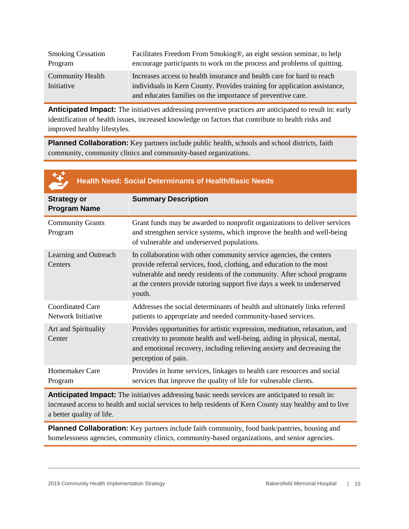| <b>Smoking Cessation</b> | Facilitates Freedom From Smoking®, an eight session seminar, to help      |
|--------------------------|---------------------------------------------------------------------------|
| Program                  | encourage participants to work on the process and problems of quitting.   |
| Community Health         | Increases access to health insurance and health care for hard to reach    |
| Initiative               | individuals in Kern County. Provides training for application assistance, |
|                          | and educates families on the importance of preventive care.               |

**Anticipated Impact:** The initiatives addressing preventive practices are anticipated to result in: early identification of health issues, increased knowledge on factors that contribute to health risks and improved healthy lifestyles.

**Planned Collaboration:** Key partners include public health, schools and school districts, faith community, community clinics and community-based organizations.

|                                               | <b>Health Need: Social Determinants of Health/Basic Needs</b>                                                                                                                                                                                                                                              |
|-----------------------------------------------|------------------------------------------------------------------------------------------------------------------------------------------------------------------------------------------------------------------------------------------------------------------------------------------------------------|
| <b>Strategy or</b><br><b>Program Name</b>     | <b>Summary Description</b>                                                                                                                                                                                                                                                                                 |
| <b>Community Grants</b><br>Program            | Grant funds may be awarded to nonprofit organizations to deliver services<br>and strengthen service systems, which improve the health and well-being<br>of vulnerable and underserved populations.                                                                                                         |
| Learning and Outreach<br>Centers              | In collaboration with other community service agencies, the centers<br>provide referral services, food, clothing, and education to the most<br>vulnerable and needy residents of the community. After school programs<br>at the centers provide tutoring support five days a week to underserved<br>youth. |
| <b>Coordinated Care</b><br>Network Initiative | Addresses the social determinants of health and ultimately links referred<br>patients to appropriate and needed community-based services.                                                                                                                                                                  |
| Art and Spirituality<br>Center                | Provides opportunities for artistic expression, meditation, relaxation, and<br>creativity to promote health and well-being, aiding in physical, mental,<br>and emotional recovery, including relieving anxiety and decreasing the<br>perception of pain.                                                   |
| Homemaker Care<br>Program                     | Provides in home services, linkages to health care resources and social<br>services that improve the quality of life for vulnerable clients.                                                                                                                                                               |

**Anticipated Impact:** The initiatives addressing basic needs services are anticipated to result in: increased access to health and social services to help residents of Kern County stay healthy and to live a better quality of life.

**Planned Collaboration:** Key partners include faith community, food bank/pantries, housing and homelessness agencies, community clinics, community-based organizations, and senior agencies.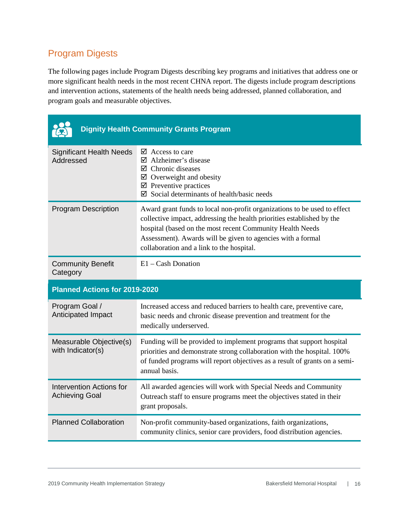### <span id="page-15-0"></span>Program Digests

The following pages include Program Digests describing key programs and initiatives that address one or more significant health needs in the most recent CHNA report. The digests include program descriptions and intervention actions, statements of the health needs being addressed, planned collaboration, and program goals and measurable objectives.

|                                                          | <b>Dignity Health Community Grants Program</b>                                                                                                                                                                                                                                                                              |
|----------------------------------------------------------|-----------------------------------------------------------------------------------------------------------------------------------------------------------------------------------------------------------------------------------------------------------------------------------------------------------------------------|
| <b>Significant Health Needs</b><br>Addressed             | $\boxtimes$ Access to care<br>$\boxtimes$ Alzheimer's disease<br>$\boxtimes$ Chronic diseases<br>$\boxtimes$ Overweight and obesity<br>$\boxtimes$ Preventive practices<br>$\boxtimes$ Social determinants of health/basic needs                                                                                            |
| <b>Program Description</b>                               | Award grant funds to local non-profit organizations to be used to effect<br>collective impact, addressing the health priorities established by the<br>hospital (based on the most recent Community Health Needs<br>Assessment). Awards will be given to agencies with a formal<br>collaboration and a link to the hospital. |
| <b>Community Benefit</b><br>Category                     | $E1 - Cash$ Donation                                                                                                                                                                                                                                                                                                        |
|                                                          |                                                                                                                                                                                                                                                                                                                             |
| <b>Planned Actions for 2019-2020</b>                     |                                                                                                                                                                                                                                                                                                                             |
| Program Goal /<br>Anticipated Impact                     | Increased access and reduced barriers to health care, preventive care,<br>basic needs and chronic disease prevention and treatment for the<br>medically underserved.                                                                                                                                                        |
| Measurable Objective(s)<br>with Indicator(s)             | Funding will be provided to implement programs that support hospital<br>priorities and demonstrate strong collaboration with the hospital. 100%<br>of funded programs will report objectives as a result of grants on a semi-<br>annual basis.                                                                              |
| <b>Intervention Actions for</b><br><b>Achieving Goal</b> | All awarded agencies will work with Special Needs and Community<br>Outreach staff to ensure programs meet the objectives stated in their<br>grant proposals.                                                                                                                                                                |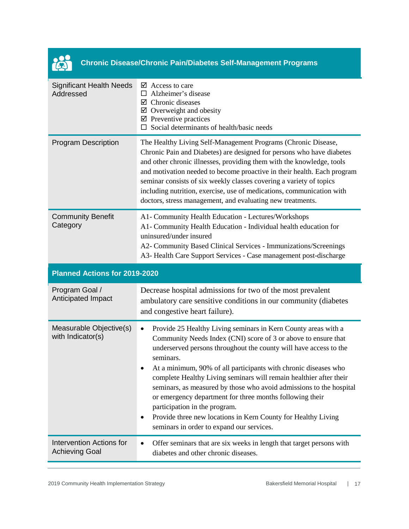

### **Chronic Disease/Chronic Pain/Diabetes Self-Management Programs**

| <b>Significant Health Needs</b><br>Addressed             | $\triangleright$ Access to care<br>$\Box$ Alzheimer's disease<br>$\boxtimes$ Chronic diseases<br>$\boxtimes$ Overweight and obesity<br>$\boxtimes$ Preventive practices<br>Social determinants of health/basic needs                                                                                                                                                                                                                                                                                                                                                                                                                                                 |
|----------------------------------------------------------|----------------------------------------------------------------------------------------------------------------------------------------------------------------------------------------------------------------------------------------------------------------------------------------------------------------------------------------------------------------------------------------------------------------------------------------------------------------------------------------------------------------------------------------------------------------------------------------------------------------------------------------------------------------------|
| <b>Program Description</b>                               | The Healthy Living Self-Management Programs (Chronic Disease,<br>Chronic Pain and Diabetes) are designed for persons who have diabetes<br>and other chronic illnesses, providing them with the knowledge, tools<br>and motivation needed to become proactive in their health. Each program<br>seminar consists of six weekly classes covering a variety of topics<br>including nutrition, exercise, use of medications, communication with<br>doctors, stress management, and evaluating new treatments.                                                                                                                                                             |
| <b>Community Benefit</b><br>Category                     | A1- Community Health Education - Lectures/Workshops<br>A1- Community Health Education - Individual health education for<br>uninsured/under insured<br>A2- Community Based Clinical Services - Immunizations/Screenings<br>A3- Health Care Support Services - Case management post-discharge                                                                                                                                                                                                                                                                                                                                                                          |
| Planned Actions for 2019-2020                            |                                                                                                                                                                                                                                                                                                                                                                                                                                                                                                                                                                                                                                                                      |
| Program Goal /<br>Anticipated Impact                     | Decrease hospital admissions for two of the most prevalent<br>ambulatory care sensitive conditions in our community (diabetes<br>and congestive heart failure).                                                                                                                                                                                                                                                                                                                                                                                                                                                                                                      |
| Measurable Objective(s)<br>with Indicator(s)             | Provide 25 Healthy Living seminars in Kern County areas with a<br>٠<br>Community Needs Index (CNI) score of 3 or above to ensure that<br>underserved persons throughout the county will have access to the<br>seminars.<br>At a minimum, 90% of all participants with chronic diseases who<br>$\bullet$<br>complete Healthy Living seminars will remain healthier after their<br>seminars, as measured by those who avoid admissions to the hospital<br>or emergency department for three months following their<br>participation in the program.<br>Provide three new locations in Kern County for Healthy Living<br>٠<br>seminars in order to expand our services. |
| <b>Intervention Actions for</b><br><b>Achieving Goal</b> | Offer seminars that are six weeks in length that target persons with<br>٠<br>diabetes and other chronic diseases.                                                                                                                                                                                                                                                                                                                                                                                                                                                                                                                                                    |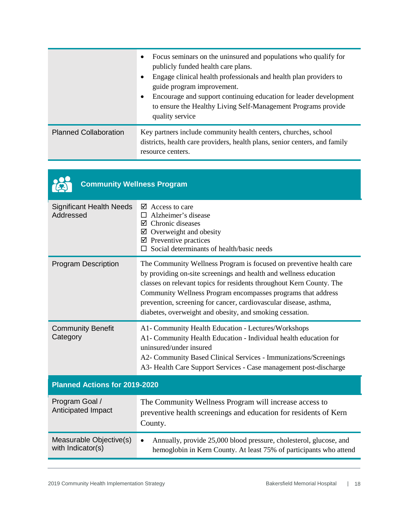|                              | Focus seminars on the uninsured and populations who qualify for<br>$\bullet$<br>publicly funded health care plans.<br>Engage clinical health professionals and health plan providers to<br>$\bullet$<br>guide program improvement.<br>Encourage and support continuing education for leader development<br>$\bullet$<br>to ensure the Healthy Living Self-Management Programs provide<br>quality service |
|------------------------------|----------------------------------------------------------------------------------------------------------------------------------------------------------------------------------------------------------------------------------------------------------------------------------------------------------------------------------------------------------------------------------------------------------|
| <b>Planned Collaboration</b> | Key partners include community health centers, churches, school<br>districts, health care providers, health plans, senior centers, and family<br>resource centers.                                                                                                                                                                                                                                       |

| <b>Community Wellness Program</b>            |                                                                                                                                                                                                                                                                                                                                                                                                                   |
|----------------------------------------------|-------------------------------------------------------------------------------------------------------------------------------------------------------------------------------------------------------------------------------------------------------------------------------------------------------------------------------------------------------------------------------------------------------------------|
| <b>Significant Health Needs</b><br>Addressed | $\boxtimes$ Access to care<br>Alzheimer's disease<br>$\Box$<br>$\boxtimes$ Chronic diseases<br>$\boxtimes$ Overweight and obesity<br>$\boxtimes$ Preventive practices<br>Social determinants of health/basic needs<br>$\Box$                                                                                                                                                                                      |
| <b>Program Description</b>                   | The Community Wellness Program is focused on preventive health care<br>by providing on-site screenings and health and wellness education<br>classes on relevant topics for residents throughout Kern County. The<br>Community Wellness Program encompasses programs that address<br>prevention, screening for cancer, cardiovascular disease, asthma,<br>diabetes, overweight and obesity, and smoking cessation. |
| <b>Community Benefit</b><br>Category         | A1- Community Health Education - Lectures/Workshops<br>A1- Community Health Education - Individual health education for<br>uninsured/under insured<br>A2- Community Based Clinical Services - Immunizations/Screenings<br>A3- Health Care Support Services - Case management post-discharge                                                                                                                       |
| Planned Actions for 2019-2020                |                                                                                                                                                                                                                                                                                                                                                                                                                   |
| Program Goal /<br>Anticipated Impact         | The Community Wellness Program will increase access to<br>preventive health screenings and education for residents of Kern<br>County.                                                                                                                                                                                                                                                                             |
| Measurable Objective(s)<br>with Indicator(s) | Annually, provide 25,000 blood pressure, cholesterol, glucose, and<br>$\bullet$<br>hemoglobin in Kern County. At least 75% of participants who attend                                                                                                                                                                                                                                                             |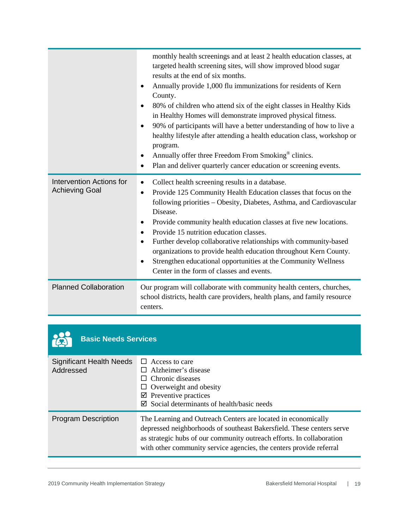|                                                          | monthly health screenings and at least 2 health education classes, at<br>targeted health screening sites, will show improved blood sugar<br>results at the end of six months.<br>Annually provide 1,000 flu immunizations for residents of Kern<br>٠<br>County.<br>80% of children who attend six of the eight classes in Healthy Kids<br>$\bullet$<br>in Healthy Homes will demonstrate improved physical fitness.<br>90% of participants will have a better understanding of how to live a<br>$\bullet$<br>healthy lifestyle after attending a health education class, workshop or<br>program.<br>Annually offer three Freedom From Smoking <sup>®</sup> clinics.<br>$\bullet$<br>Plan and deliver quarterly cancer education or screening events.<br>$\bullet$ |
|----------------------------------------------------------|-------------------------------------------------------------------------------------------------------------------------------------------------------------------------------------------------------------------------------------------------------------------------------------------------------------------------------------------------------------------------------------------------------------------------------------------------------------------------------------------------------------------------------------------------------------------------------------------------------------------------------------------------------------------------------------------------------------------------------------------------------------------|
| <b>Intervention Actions for</b><br><b>Achieving Goal</b> | Collect health screening results in a database.<br>$\bullet$<br>Provide 125 Community Health Education classes that focus on the<br>$\bullet$<br>following priorities - Obesity, Diabetes, Asthma, and Cardiovascular<br>Disease.<br>Provide community health education classes at five new locations.<br>٠<br>Provide 15 nutrition education classes.<br>$\bullet$<br>Further develop collaborative relationships with community-based<br>$\bullet$<br>organizations to provide health education throughout Kern County.<br>Strengthen educational opportunities at the Community Wellness<br>$\bullet$<br>Center in the form of classes and events.                                                                                                             |
| <b>Planned Collaboration</b>                             | Our program will collaborate with community health centers, churches,<br>school districts, health care providers, health plans, and family resource<br>centers.                                                                                                                                                                                                                                                                                                                                                                                                                                                                                                                                                                                                   |

| <b>Basic Needs Services</b> |
|-----------------------------|
|-----------------------------|

23

| Significant Health Needs<br>Addressed | $\Box$ Access to care<br>Alzheimer's disease<br>$\Box$ Chronic diseases<br>$\Box$ Overweight and obesity<br>$\boxtimes$ Preventive practices<br>$\boxtimes$ Social determinants of health/basic needs                                                                                  |
|---------------------------------------|----------------------------------------------------------------------------------------------------------------------------------------------------------------------------------------------------------------------------------------------------------------------------------------|
| <b>Program Description</b>            | The Learning and Outreach Centers are located in economically<br>depressed neighborhoods of southeast Bakersfield. These centers serve<br>as strategic hubs of our community outreach efforts. In collaboration<br>with other community service agencies, the centers provide referral |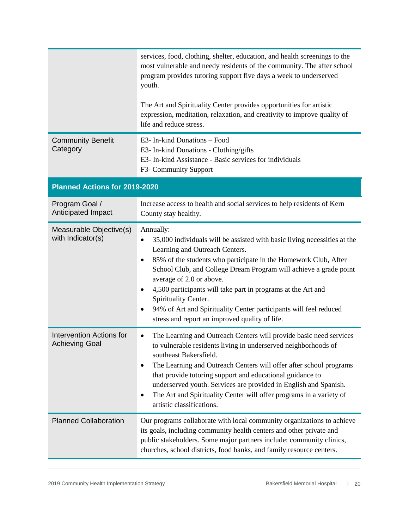|                                                          | services, food, clothing, shelter, education, and health screenings to the<br>most vulnerable and needy residents of the community. The after school<br>program provides tutoring support five days a week to underserved<br>youth.<br>The Art and Spirituality Center provides opportunities for artistic<br>expression, meditation, relaxation, and creativity to improve quality of<br>life and reduce stress.                                                                                                                                      |
|----------------------------------------------------------|--------------------------------------------------------------------------------------------------------------------------------------------------------------------------------------------------------------------------------------------------------------------------------------------------------------------------------------------------------------------------------------------------------------------------------------------------------------------------------------------------------------------------------------------------------|
| <b>Community Benefit</b><br>Category                     | E3- In-kind Donations - Food<br>E3- In-kind Donations - Clothing/gifts<br>E3- In-kind Assistance - Basic services for individuals<br>F3- Community Support                                                                                                                                                                                                                                                                                                                                                                                             |
| Planned Actions for 2019-2020                            |                                                                                                                                                                                                                                                                                                                                                                                                                                                                                                                                                        |
| Program Goal /<br>Anticipated Impact                     | Increase access to health and social services to help residents of Kern<br>County stay healthy.                                                                                                                                                                                                                                                                                                                                                                                                                                                        |
| Measurable Objective(s)<br>with Indicator(s)             | Annually:<br>35,000 individuals will be assisted with basic living necessities at the<br>$\bullet$<br>Learning and Outreach Centers.<br>85% of the students who participate in the Homework Club, After<br>$\bullet$<br>School Club, and College Dream Program will achieve a grade point<br>average of 2.0 or above.<br>4,500 participants will take part in programs at the Art and<br>$\bullet$<br>Spirituality Center.<br>94% of Art and Spirituality Center participants will feel reduced<br>٠<br>stress and report an improved quality of life. |
| <b>Intervention Actions for</b><br><b>Achieving Goal</b> | The Learning and Outreach Centers will provide basic need services<br>$\bullet$<br>to vulnerable residents living in underserved neighborhoods of<br>southeast Bakersfield.<br>The Learning and Outreach Centers will offer after school programs<br>$\bullet$<br>that provide tutoring support and educational guidance to<br>underserved youth. Services are provided in English and Spanish.<br>The Art and Spirituality Center will offer programs in a variety of<br>$\bullet$<br>artistic classifications.                                       |
| <b>Planned Collaboration</b>                             | Our programs collaborate with local community organizations to achieve<br>its goals, including community health centers and other private and<br>public stakeholders. Some major partners include: community clinics,<br>churches, school districts, food banks, and family resource centers.                                                                                                                                                                                                                                                          |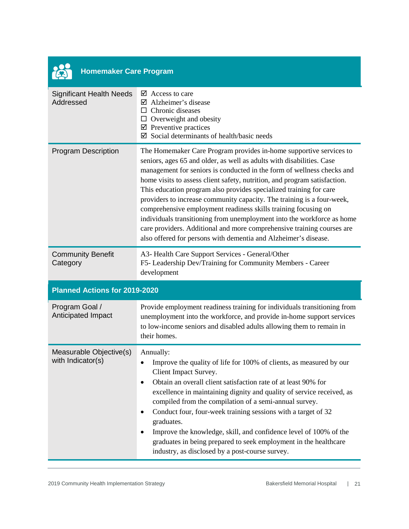| <b>Homemaker Care Program</b>                |                                                                                                                                                                                                                                                                                                                                                                                                                                                                                                                                                                                                                                                                                                                                             |
|----------------------------------------------|---------------------------------------------------------------------------------------------------------------------------------------------------------------------------------------------------------------------------------------------------------------------------------------------------------------------------------------------------------------------------------------------------------------------------------------------------------------------------------------------------------------------------------------------------------------------------------------------------------------------------------------------------------------------------------------------------------------------------------------------|
| <b>Significant Health Needs</b><br>Addressed | $\triangleright$ Access to care<br>$\boxtimes$ Alzheimer's disease<br>$\Box$ Chronic diseases<br>$\Box$ Overweight and obesity<br>$\boxtimes$ Preventive practices<br>$\boxtimes$ Social determinants of health/basic needs                                                                                                                                                                                                                                                                                                                                                                                                                                                                                                                 |
| <b>Program Description</b>                   | The Homemaker Care Program provides in-home supportive services to<br>seniors, ages 65 and older, as well as adults with disabilities. Case<br>management for seniors is conducted in the form of wellness checks and<br>home visits to assess client safety, nutrition, and program satisfaction.<br>This education program also provides specialized training for care<br>providers to increase community capacity. The training is a four-week,<br>comprehensive employment readiness skills training focusing on<br>individuals transitioning from unemployment into the workforce as home<br>care providers. Additional and more comprehensive training courses are<br>also offered for persons with dementia and Alzheimer's disease. |
| <b>Community Benefit</b><br>Category         | A3- Health Care Support Services - General/Other<br>F5- Leadership Dev/Training for Community Members - Career<br>development                                                                                                                                                                                                                                                                                                                                                                                                                                                                                                                                                                                                               |
| <b>Planned Actions for 2019-2020</b>         |                                                                                                                                                                                                                                                                                                                                                                                                                                                                                                                                                                                                                                                                                                                                             |
| Program Goal /<br>Anticipated Impact         | Provide employment readiness training for individuals transitioning from<br>unemployment into the workforce, and provide in-home support services<br>to low-income seniors and disabled adults allowing them to remain in<br>their homes.                                                                                                                                                                                                                                                                                                                                                                                                                                                                                                   |
| Measurable Objective(s)<br>with Indicator(s) | Annually:<br>Improve the quality of life for 100% of clients, as measured by our<br>Client Impact Survey.<br>Obtain an overall client satisfaction rate of at least 90% for<br>$\bullet$<br>excellence in maintaining dignity and quality of service received, as<br>compiled from the compilation of a semi-annual survey.<br>Conduct four, four-week training sessions with a target of 32<br>٠<br>graduates.<br>Improve the knowledge, skill, and confidence level of 100% of the<br>$\bullet$<br>graduates in being prepared to seek employment in the healthcare<br>industry, as disclosed by a post-course survey.                                                                                                                    |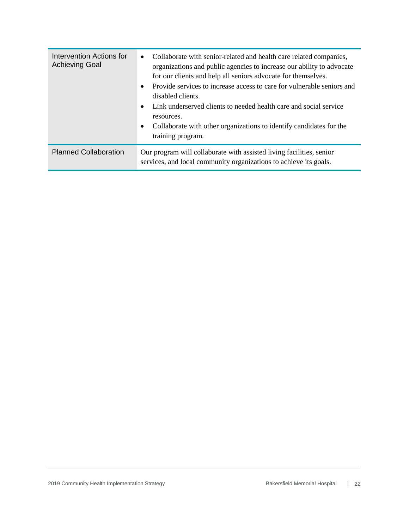| Intervention Actions for<br><b>Achieving Goal</b> | Collaborate with senior-related and health care related companies,<br>$\bullet$<br>organizations and public agencies to increase our ability to advocate<br>for our clients and help all seniors advocate for themselves.<br>Provide services to increase access to care for vulnerable seniors and<br>$\bullet$<br>disabled clients.<br>Link underserved clients to needed health care and social service<br>$\bullet$<br>resources.<br>Collaborate with other organizations to identify candidates for the<br>$\bullet$<br>training program. |
|---------------------------------------------------|------------------------------------------------------------------------------------------------------------------------------------------------------------------------------------------------------------------------------------------------------------------------------------------------------------------------------------------------------------------------------------------------------------------------------------------------------------------------------------------------------------------------------------------------|
| <b>Planned Collaboration</b>                      | Our program will collaborate with assisted living facilities, senior<br>services, and local community organizations to achieve its goals.                                                                                                                                                                                                                                                                                                                                                                                                      |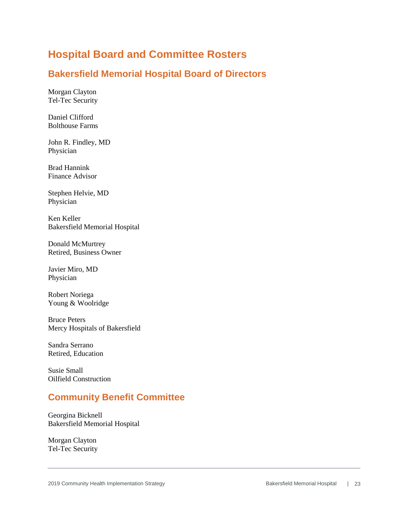### <span id="page-22-0"></span>**Hospital Board and Committee Rosters**

#### **Bakersfield Memorial Hospital Board of Directors**

Morgan Clayton Tel-Tec Security

Daniel Clifford Bolthouse Farms

John R. Findley, MD Physician

Brad Hannink Finance Advisor

Stephen Helvie, MD Physician

Ken Keller Bakersfield Memorial Hospital

Donald McMurtrey Retired, Business Owner

Javier Miro, MD Physician

Robert Noriega Young & Woolridge

Bruce Peters Mercy Hospitals of Bakersfield

Sandra Serrano Retired, Education

Susie Small Oilfield Construction

#### **Community Benefit Committee**

Georgina Bicknell Bakersfield Memorial Hospital

Morgan Clayton Tel-Tec Security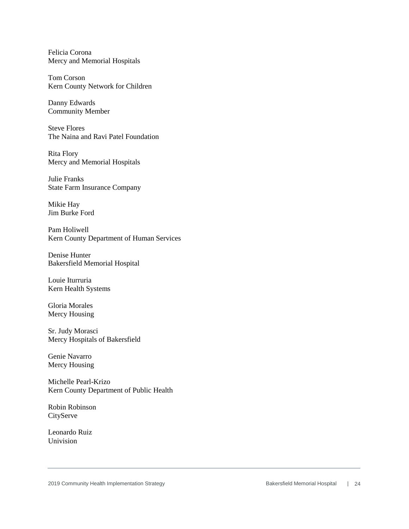Felicia Corona Mercy and Memorial Hospitals

Tom Corson Kern County Network for Children

Danny Edwards Community Member

Steve Flores The Naina and Ravi Patel Foundation

Rita Flory Mercy and Memorial Hospitals

Julie Franks State Farm Insurance Company

Mikie Hay Jim Burke Ford

Pam Holiwell Kern County Department of Human Services

Denise Hunter Bakersfield Memorial Hospital

Louie Iturruria Kern Health Systems

Gloria Morales Mercy Housing

Sr. Judy Morasci Mercy Hospitals of Bakersfield

Genie Navarro Mercy Housing

Michelle Pearl-Krizo Kern County Department of Public Health

Robin Robinson **CityServe** 

Leonardo Ruiz Univision